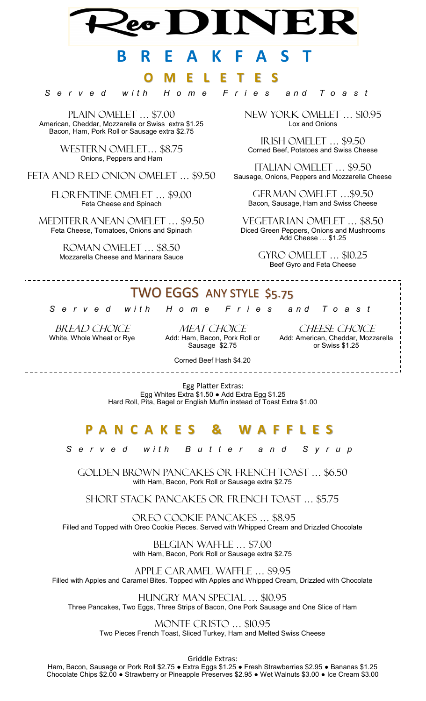# **B R E A K F A S T**

# **O M E L E T E S**

*S e r v e d w i t h H o m e F r i e s a n d T o a s t*

PLAIN OMELET ... \$7.00 American, Cheddar, Mozzarella or Swiss extra \$1.25 Bacon, Ham, Pork Roll or Sausage extra \$2.75

> Western Omelet… \$8.75 Onions, Peppers and Ham

FETA AND RED ONION OMELET ... \$9.50

Florentine omelet … \$9.00 Feta Cheese and Spinach

Mediterranean omelet … \$9.50 Feta Cheese, Tomatoes, Onions and Spinach

> Roman omelet … \$8.50 Mozzarella Cheese and Marinara Sauce

New York omelet … \$10.95 Lox and Onions

Irish omelet … \$9.50 Corned Beef, Potatoes and Swiss Cheese

Italian omelet … \$9.50 Sausage, Onions, Peppers and Mozzarella Cheese

German omelet …\$9.50 Bacon, Sausage, Ham and Swiss Cheese

Vegetarian omelet … \$8.50 Diced Green Peppers, Onions and Mushrooms Add Cheese … \$1.25

> Gyro omelet … \$10.25 Beef Gyro and Feta Cheese

# TWO EGGS ANY STYLE \$5.75

*S e r v e d w i t h H o m e F r i e s a n d T o a s t*

BREAD CHOICE White, Whole Wheat or Rye

\_\_\_\_\_\_\_\_\_\_\_\_\_\_\_\_\_\_\_\_\_\_\_\_\_

MEAT CHOICE Add: Ham, Bacon, Pork Roll or Sausage \$2.75

CHEESE CHOICE Add: American, Cheddar, Mozzarella or Swiss \$1.25

Corned Beef Hash \$4.20 

Egg Platter Extras: Egg Whites Extra \$1.50 ● Add Extra Egg \$1.25 Hard Roll, Pita, Bagel or English Muffin instead of Toast Extra \$1.00

# **P A N C A K E S & W A F F L E S**

*S e r v e d w i t h B u t t e r a n d S y r u p*

GOLDEN BROWN PANCAKES OR FRENCH TOAST … \$6.50 with Ham, Bacon, Pork Roll or Sausage extra \$2.75

Short stack pancakes or French toast … \$5.75

Oreo cookie pancakes … \$8.95 Filled and Topped with Oreo Cookie Pieces. Served with Whipped Cream and Drizzled Chocolate

> Belgian Waffle … \$7.00 with Ham, Bacon, Pork Roll or Sausage extra \$2.75

Apple caramel waffle … \$9.95 Filled with Apples and Caramel Bites. Topped with Apples and Whipped Cream, Drizzled with Chocolate

Hungry man special … \$10.95 Three Pancakes, Two Eggs, Three Strips of Bacon, One Pork Sausage and One Slice of Ham

> Monte cristo … \$10.95 Two Pieces French Toast, Sliced Turkey, Ham and Melted Swiss Cheese

> > Griddle Extras:

Ham, Bacon, Sausage or Pork Roll \$2.75 ● Extra Eggs \$1.25 ● Fresh Strawberries \$2.95 ● Bananas \$1.25 Chocolate Chips \$2.00 ● Strawberry or Pineapple Preserves \$2.95 ● Wet Walnuts \$3.00 ● Ice Cream \$3.00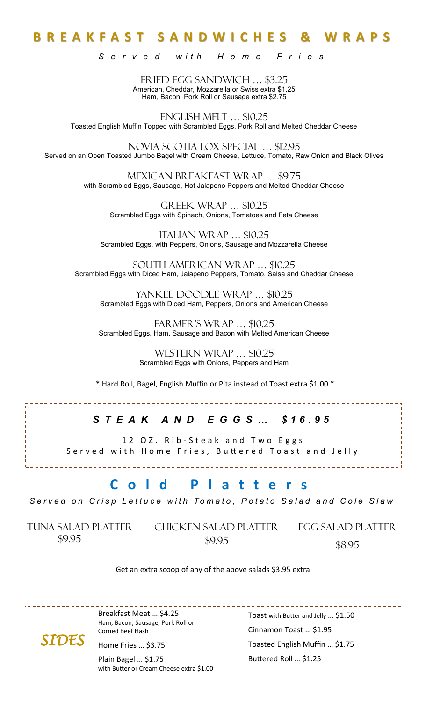# **B R E A K F A S T S A N D W I C H E S & W R A P S**

*S e r v e d w i t h H o m e F r i e s*

FRIED EGG SANDWICH … \$3.25 American, Cheddar, Mozzarella or Swiss extra \$1.25 Ham, Bacon, Pork Roll or Sausage extra \$2.75

English Melt … \$10.25 Toasted English Muffin Topped with Scrambled Eggs, Pork Roll and Melted Cheddar Cheese

Novia Scotia lox special … \$12.95 Served on an Open Toasted Jumbo Bagel with Cream Cheese, Lettuce, Tomato, Raw Onion and Black Olives

> Mexican breakfast wrap … \$9.75 with Scrambled Eggs, Sausage, Hot Jalapeno Peppers and Melted Cheddar Cheese

GREEK WRAP ... \$10.25 Scrambled Eggs with Spinach, Onions, Tomatoes and Feta Cheese

Italian wrap … \$10.25 Scrambled Eggs, with Peppers, Onions, Sausage and Mozzarella Cheese

South American Wrap … \$10.25 Scrambled Eggs with Diced Ham, Jalapeno Peppers, Tomato, Salsa and Cheddar Cheese

Yankee Doodle Wrap … \$10.25 Scrambled Eggs with Diced Ham, Peppers, Onions and American Cheese

Farmer's Wrap … \$10.25 Scrambled Eggs, Ham, Sausage and Bacon with Melted American Cheese

> WESTERN WRAP ... \$10.25 Scrambled Eggs with Onions, Peppers and Ham

\* Hard Roll, Bagel, English Muffin or Pita instead of Toast extra \$1.00 \*

### *S T E A K A N D E G G S … \$ 1 6 . 9 5*

12 OZ. Rib-Steak and Two Eggs Served with Home Fries, Buttered Toast and Jelly

# **C o l d P l a t t e r s**

Served on Crisp Lettuce with Tomato, Potato Salad and Cole Slaw

Tuna salad platter Chicken salad platter Egg salad platter \$9.95

\$9.95

\$8.95

#### Get an extra scoop of any of the above salads \$3.95 extra

Breakfast Meat … \$4.25 Ham, Bacon, Sausage, Pork Roll or

Corned Beef Hash Home Fries … \$3.75 *SIDES* 

> Plain Bagel … \$1.75 with Butter or Cream Cheese extra \$1.00

Toast with Butter and Jelly … \$1.50 Cinnamon Toast … \$1.95 Toasted English Muffin … \$1.75 Buttered Roll … \$1.25

\_\_\_\_\_\_\_\_\_\_\_\_\_\_\_\_\_\_\_\_\_\_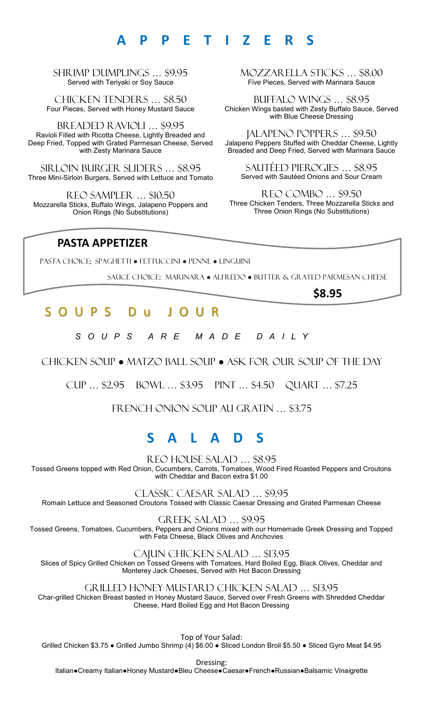# **A P P E T I Z E R S**

SHRIMP DUMPLINGS … \$9.95 Served with Teriyaki or Soy Sauce

Chicken Tenders … \$8.50 Four Pieces, Served with Honey Mustard Sauce

Breaded ravioli … \$9.95 Ravioli Filled with Ricotta Cheese, Lightly Breaded and Deep Fried, Topped with Grated Parmesan Cheese, Served with Zesty Marinara Sauce

Sirloin burger sliders … \$8.95 Three Mini-Sirloin Burgers, Served with Lettuce and Tomato

Reo sampler … \$10.50 Mozzarella Sticks, Buffalo Wings, Jalapeno Poppers and Onion Rings (No Substitutions)

MOZZARELLA STICKS … \$8.00 Five Pieces, Served with Marinara Sauce

Buffalo wings … \$8.95 Chicken Wings basted with Zesty Buffalo Sauce, Served with Blue Cheese Dressing

Jalapeno poppers … \$9.50 Jalapeno Peppers Stuffed with Cheddar Cheese, Lightly Breaded and Deep Fried, Served with Marinara Sauce

Sautéed pierogies … \$8.95 Served with Sautéed Onions and Sour Cream

Reo combo … \$9.50 Three Chicken Tenders, Three Mozzarella Sticks and Three Onion Rings (No Substitutions)

### **PASTA APPETIZER**

pasta choice: SPAGHETTI ● FETTUCCINI ● PENNE ● LINGUINI

SAUCE CHOICE:: MARINARA ● ALFREDO ● BUTTER & GRATED PARMESAN CHEESE

**\$8.95**

# S O U P S D u J O U R

*S O U P S A R E M A D E D A I L Y*

Chicken soup ● matzo ball soup ● ask for our soup of the day

Cup … \$2.95 bowl … \$3.95 PINT … \$4.50 QUART … \$7.25

FRENCH ONION SOUP AU GRATIN … \$3.75

# **S A L A D S**

REO HOUSE SALAD … \$8.95

Tossed Greens topped with Red Onion, Cucumbers, Carrots, Tomatoes, Wood Fired Roasted Peppers and Croutons with Cheddar and Bacon extra \$1.00

Classic Caesar Salad … \$9.95

Romain Lettuce and Seasoned Croutons Tossed with Classic Caesar Dressing and Grated Parmesan Cheese

Greek Salad … \$9.95

Tossed Greens, Tomatoes, Cucumbers, Peppers and Onions mixed with our Homemade Greek Dressing and Topped with Feta Cheese, Black Olives and Anchovies

Cajun Chicken Salad … \$13.95

Slices of Spicy Grilled Chicken on Tossed Greens with Tomatoes, Hard Boiled Egg, Black Olives, Cheddar and Monterey Jack Cheeses, Served with Hot Bacon Dressing

Grilled Honey Mustard Chicken Salad … \$13.95

Char-grilled Chicken Breast basted in Honey Mustard Sauce, Served over Fresh Greens with Shredded Cheddar Cheese, Hard Boiled Egg and Hot Bacon Dressing

Top of Your Salad:

Grilled Chicken \$3.75 ● Grilled Jumbo Shrimp (4) \$6.00 ● Sliced London Broil \$5.50 ● Sliced Gyro Meat \$4.95

Dressing:

Italian●Creamy Italian●Honey Mustard●Bleu Cheese●Caesar●French●Russian●Balsamic Vinaigrette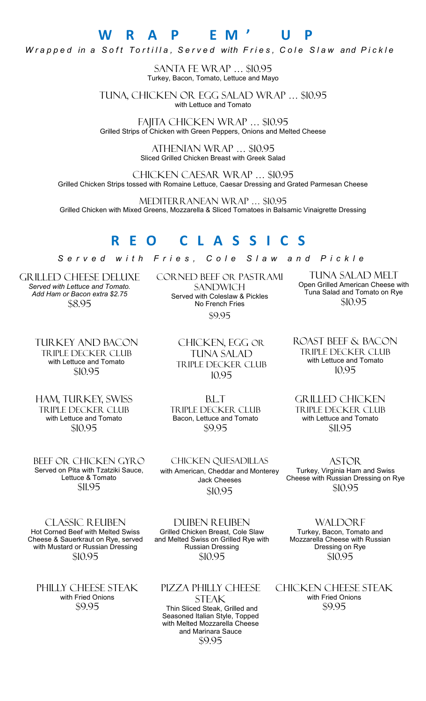### **W R A P E M ' U P** *W* rapped in a Soft Tortilla, Served with Fries, Cole Slaw and Pickle

Santa Fe Wrap … \$10.95 Turkey, Bacon, Tomato, Lettuce and Mayo

Tuna, Chicken or Egg Salad wrap … \$10.95 with Lettuce and Tomato

Fajita Chicken Wrap … \$10.95 Grilled Strips of Chicken with Green Peppers, Onions and Melted Cheese

> Athenian Wrap … \$10.95 Sliced Grilled Chicken Breast with Greek Salad

Chicken Caesar Wrap … \$10.95 Grilled Chicken Strips tossed with Romaine Lettuce, Caesar Dressing and Grated Parmesan Cheese

Mediterranean wrap … \$10.95 Grilled Chicken with Mixed Greens, Mozzarella & Sliced Tomatoes in Balsamic Vinaigrette Dressing

# **R E O C L A S S I C S**

*S e r v e d w i t h F r i e s , C o l e S l a w a n d P i c k l e*

Grilled Cheese deluxe *Served with Lettuce and Tomato. Add Ham or Bacon extra \$2.75* \$8.95

Corned beef or pastrami **SANDWICH** Served with Coleslaw & Pickles No French Fries \$9.95

> Chicken, Egg or tuna salad triple decker club 10.95

Tuna Salad melt Open Grilled American Cheese with .<br>Tuna Salad and Tomato on Rye \$10.95

Turkey and Bacon Triple Decker club with Lettuce and Tomato \$10.95

Ham, turkey, swiss Triple decker Club with Lettuce and Tomato \$10.95

Beef or Chicken Gyro Served on Pita with Tzatziki Sauce, Lettuce & Tomato \$11.95

chicken quesadillas with American, Cheddar and Monterey Jack Cheeses \$10.95

Classic Reuben Hot Corned Beef with Melted Swiss Cheese & Sauerkraut on Rye, served with Mustard or Russian Dressing \$10.95

PHILLY CHEESE STEAK with Fried Onions \$9.95

Duben Reuben Grilled Chicken Breast, Cole Slaw and Melted Swiss on Grilled Rye with Russian Dressing \$10.95

Pizza Philly Cheese **STEAK** Thin Sliced Steak, Grilled and Seasoned Italian Style, Topped with Melted Mozzarella Cheese and Marinara Sauce \$9.95

Chicken Cheese Steak

with Fried Onions \$9.95

Triple decker club with Lettuce and Tomato 10.95

Roast Beef & Bacon

Grilled chicken Triple decker club with Lettuce and Tomato \$11.95

Turkey, Virginia Ham and Swiss Cheese with Russian Dressing on Rye \$10.95

Bacon, Lettuce and Tomato \$9.95

B.L.T Triple decker club

**ASTOR** 

**WALDORF** Turkey, Bacon, Tomato and

Mozzarella Cheese with Russian Dressing on Rye \$10.95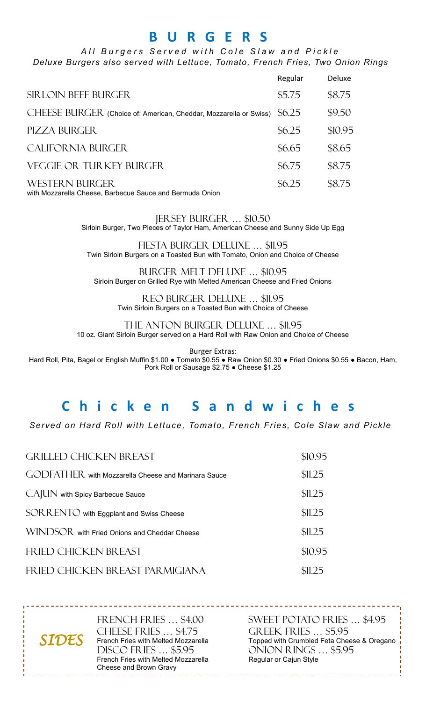# **B U R G E R S**

#### All Burgers Served with Cole Slaw and Pickle *Deluxe Burgers also served with Lettuce, Tomato, French Fries, Two Onion Rings*

|                                                                          | Regular | Deluxe  |
|--------------------------------------------------------------------------|---------|---------|
| <b>SIRLOIN BEEF BURGER</b>                                               | \$5.75  | \$8.75  |
| CHEESE BURGER (Choice of: American, Cheddar, Mozzarella or Swiss) \$6.25 |         | \$9.50  |
| PIZZA BURGER                                                             | \$6.25  | \$10.95 |
| CALIFORNIA BURGER.                                                       | \$6.65  | \$8.65  |
| VEGGIE OR TURKEY BURGER                                                  | \$6.75  | \$8.75  |
| <b>WESTERN BURGER</b>                                                    | \$6.25  | \$8.75  |

with Mozzarella Cheese, Barbecue Sauce and Bermuda Onion

#### Jersey Burger … \$10.50

Sirloin Burger, Two Pieces of Taylor Ham, American Cheese and Sunny Side Up Egg

Fiesta burger deluxe … \$11.95 Twin Sirloin Burgers on a Toasted Bun with Tomato, Onion and Choice of Cheese

Burger melt deluxe … \$10.95 Sirloin Burger on Grilled Rye with Melted American Cheese and Fried Onions

Reo burger deluxe … \$11.95 Twin Sirloin Burgers on a Toasted Bun with Choice of Cheese

The anton burger deluxe … \$11.95 10 oz. Giant Sirloin Burger served on a Hard Roll with Raw Onion and Choice of Cheese

Burger Extras:

Hard Roll, Pita, Bagel or English Muffin \$1.00 ● Tomato \$0.55 ● Raw Onion \$0.30 ● Fried Onions \$0.55 ● Bacon, Ham, Pork Roll or Sausage \$2.75 ● Cheese \$1.25

# **C h i c k e n S a n d w i c h e s**

*Served on Hard Roll with Lettuce, Tomato, French Fries, Cole Slaw and Pickle*

| <b>GRILLED CHICKEN BREAST</b>                       | \$10.95 |
|-----------------------------------------------------|---------|
| GODFATHER with Mozzarella Cheese and Marinara Sauce | \$11.25 |
| CAJUN with Spicy Barbecue Sauce                     | \$11.25 |
| SORRENTO with Eggplant and Swiss Cheese             | \$11.25 |
| WINDSOR with Fried Onions and Cheddar Cheese        | \$11.25 |
| FRIED CHICKEN BREAST                                | \$10.95 |
| FRIED CHICKEN BREAST PARMIGIANA                     | \$11.25 |

French Fries … \$4.00 CHEESE FRIES ... \$4.75 French Fries with Melted Mozzarella Disco fries … \$5.95 French Fries with Melted Mozzarella Cheese and Brown Gravy

*SIDES* 

SWEET POTATO FRIES … \$4.95 GREEK FRIES … \$5.95 Topped with Crumbled Feta Cheese & Oregano ONION RINGS … \$5.95 Regular or Cajun Style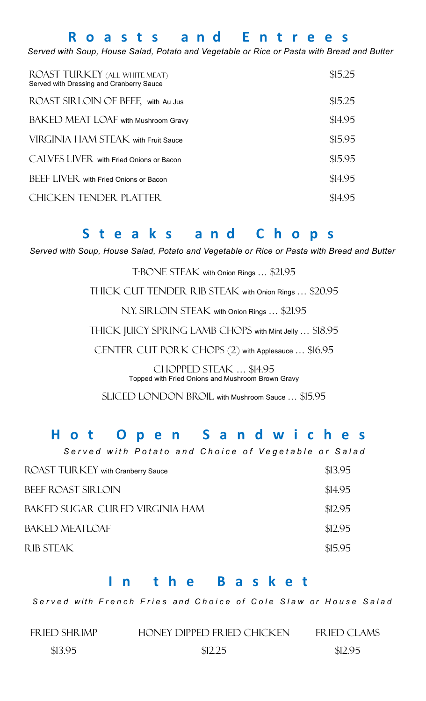# **R o a s t s a n d E n t r e e s**

*Served with Soup, House Salad, Potato and Vegetable or Rice or Pasta with Bread and Butter*

| ROAST TURKEY (ALL WHITE MEAT)<br>Served with Dressing and Cranberry Sauce | \$15.25 |
|---------------------------------------------------------------------------|---------|
| ROAST SIRLOIN OF BEEF, with Au Jus                                        | \$15.25 |
| BAKED MEAT LOAF with Mushroom Gravy                                       | \$14.95 |
| VIRGINIA HAM STEAK with Fruit Sauce                                       | \$15.95 |
| CALVES LIVER with Fried Onions or Bacon                                   | \$15.95 |
| BEEF LIVER with Fried Onions or Bacon                                     | \$14.95 |
| <b>CHICKEN TENDER PLATTER</b>                                             | \$14.95 |

### **S t e a k s a n d C h o p s**

*Served with Soup, House Salad, Potato and Vegetable or Rice or Pasta with Bread and Butter*

T-BONE STEAK with Onion Rings ... \$21.95

THICK CUT TENDER RIB STEAK with Onion Rings ... \$20.95

N.Y. SIRLOIN STEAK with Onion Rings ... \$21.95

THICK JUICY SPRING LAMB CHOPS with Mint Jelly ... \$18.95

CENTER CUT PORK CHOPS (2) with Applesauce ... \$16.95

Chopped steak … \$14.95 Topped with Fried Onions and Mushroom Brown Gravy

SLICED LONDON BROIL with Mushroom Sauce ... \$15.95

### **H o t O p e n S a n d w i c h e s**

|                                          |  |  | Served with Potato and Choice of Vegetable or Salad |         |
|------------------------------------------|--|--|-----------------------------------------------------|---------|
| <b>ROAST TURKEY</b> with Cranberry Sauce |  |  |                                                     | \$13.95 |
| BEEF ROAST SIRLOIN                       |  |  |                                                     | \$14.95 |
| BAKED SUGAR, CURED VIRGINIA HAM          |  |  |                                                     | \$12.95 |
| <b>BAKED MEATLOAF</b>                    |  |  |                                                     | \$12.95 |
| <b>RIB STEAK</b>                         |  |  |                                                     | \$15.95 |

### **I n t h e B a s k e t**

*S e r v e d w i t h F r e n c h F r i e s and C h o i c e o f C o l e S l a w o r H o u s e S a l a d*

Fried Shrimp

Honey dipped fried chicken

FRIED CLAMS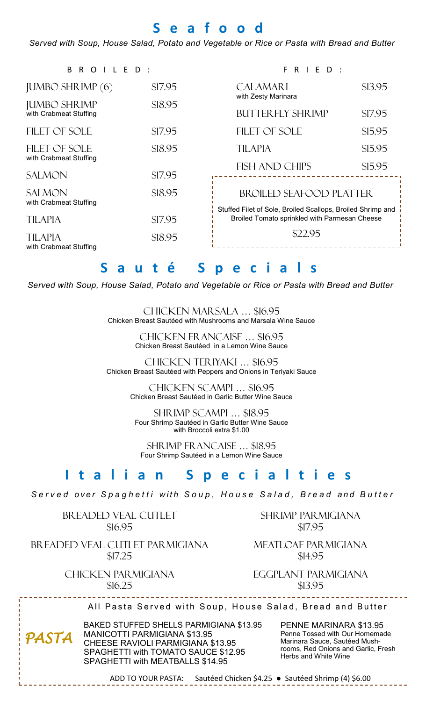# **S e a f o o d**

*Served with Soup, House Salad, Potato and Vegetable or Rice or Pasta with Bread and Butter*

|         | FRIED:                                                                                                       |                                      |  |
|---------|--------------------------------------------------------------------------------------------------------------|--------------------------------------|--|
| \$17.95 | <b>CALAMARI</b>                                                                                              | \$13.95                              |  |
| \$18.95 | <b>BUTTERFLY SHRIMP</b>                                                                                      | \$17.95                              |  |
| \$17.95 |                                                                                                              | \$15.95                              |  |
| \$18.95 | <b>TILAPIA</b>                                                                                               | \$15.95                              |  |
| \$17.95 | <b>FISH AND CHIPS</b>                                                                                        | \$15.95                              |  |
| \$18.95 | <b>BROILED SEAFOOD PLATTER</b>                                                                               |                                      |  |
| \$17.95 | Stuffed Filet of Sole, Broiled Scallops, Broiled Shrimp and<br>Broiled Tomato sprinkled with Parmesan Cheese |                                      |  |
| \$18.95 | \$22.95                                                                                                      |                                      |  |
|         |                                                                                                              | with Zesty Marinara<br>FILET OF SOLE |  |

# **S a u t é S p e c i a l s**

*Served with Soup, House Salad, Potato and Vegetable or Rice or Pasta with Bread and Butter*

Chicken Marsala … \$16.95 Chicken Breast Sautéed with Mushrooms and Marsala Wine Sauce

> Chicken Francaise … \$16.95 Chicken Breast Sautéed in a Lemon Wine Sauce

Chicken teriyaki … \$16.95 Chicken Breast Sautéed with Peppers and Onions in Teriyaki Sauce

> Chicken scampi … \$16.95 Chicken Breast Sautéed in Garlic Butter Wine Sauce

Shrimp scampi … \$18.95 Four Shrimp Sautéed in Garlic Butter Wine Sauce with Broccoli extra \$1.00

shrimp francaise … \$18.95 Four Shrimp Sautéed in a Lemon Wine Sauce

# **I t a l i a n S p e c i a l t i e s**

*S e r v e d o v e r S p a g h e t t i w i t h S o u p , H o u s e S a l a d , B r e a d and B u t t e r*

Breaded veal cutlet \$16.95

Breaded veal cutlet parmigiana \$17.25

> Chicken Parmigiana \$16.25

Shrimp parmigiana \$17.95

Meatloaf Parmigiana \$14.95

Eggplant parmigiana \$13.95

All Pasta Served with Soup, House Salad, Bread and Butter

*PASTA* 

BAKED STUFFED SHELLS PARMIGIANA \$13.95 MANICOTTI PARMIGIANA \$13.95 CHEESE RAVIOLI PARMIGIANA \$13.95 SPAGHETTI with TOMATO SAUCE \$12.95 SPAGHETTI with MEATBALLS \$14.95

PENNE MARINARA \$13.95 Penne Tossed with Our Homemade Marinara Sauce, Sautéed Mushrooms, Red Onions and Garlic, Fresh Herbs and White Wine

ADD TO YOUR PASTA: Sautéed Chicken \$4.25 ● Sautéed Shrimp (4) \$6.00